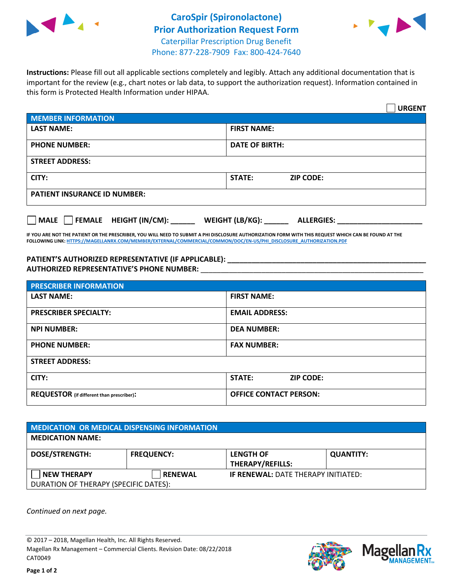



**Instructions:** Please fill out all applicable sections completely and legibly. Attach any additional documentation that is important for the review (e.g., chart notes or lab data, to support the authorization request). Information contained in this form is Protected Health Information under HIPAA.

|                                     | <b>URGENT</b>                        |  |  |  |
|-------------------------------------|--------------------------------------|--|--|--|
| <b>MEMBER INFORMATION</b>           |                                      |  |  |  |
| <b>LAST NAME:</b>                   | <b>FIRST NAME:</b>                   |  |  |  |
| <b>PHONE NUMBER:</b>                | <b>DATE OF BIRTH:</b>                |  |  |  |
| <b>STREET ADDRESS:</b>              |                                      |  |  |  |
| CITY:                               | <b>STATE:</b><br><b>ZIP CODE:</b>    |  |  |  |
| <b>PATIENT INSURANCE ID NUMBER:</b> |                                      |  |  |  |
| FEMALE HEIGHT (IN/CM):<br>   MALE   | WEIGHT (LB/KG):<br><b>ALLERGIES:</b> |  |  |  |

**IF YOU ARE NOT THE PATIENT OR THE PRESCRIBER, YOU WILL NEED TO SUBMIT A PHI DISCLOSURE AUTHORIZATION FORM WITH THIS REQUEST WHICH CAN BE FOUND AT THE FOLLOWING LINK[: HTTPS://MAGELLANRX.COM/MEMBER/EXTERNAL/COMMERCIAL/COMMON/DOC/EN-US/PHI\\_DISCLOSURE\\_AUTHORIZATION.PDF](https://magellanrx.com/member/external/commercial/common/doc/en-us/PHI_Disclosure_Authorization.pdf)**

**PATIENT'S AUTHORIZED REPRESENTATIVE (IF APPLICABLE): \_\_\_\_\_\_\_\_\_\_\_\_\_\_\_\_\_\_\_\_\_\_\_\_\_\_\_\_\_\_\_\_\_\_\_\_\_\_\_\_\_\_\_\_\_\_\_\_\_ AUTHORIZED REPRESENTATIVE'S PHONE NUMBER:** \_\_\_\_\_\_\_\_\_\_\_\_\_\_\_\_\_\_\_\_\_\_\_\_\_\_\_\_\_\_\_\_\_\_\_\_\_\_\_\_\_\_\_\_\_\_\_\_\_\_\_\_\_\_\_

| <b>PRESCRIBER INFORMATION</b>             |                               |  |  |  |
|-------------------------------------------|-------------------------------|--|--|--|
| <b>LAST NAME:</b>                         | <b>FIRST NAME:</b>            |  |  |  |
| <b>PRESCRIBER SPECIALTY:</b>              | <b>EMAIL ADDRESS:</b>         |  |  |  |
| <b>NPI NUMBER:</b>                        | <b>DEA NUMBER:</b>            |  |  |  |
| <b>PHONE NUMBER:</b>                      | <b>FAX NUMBER:</b>            |  |  |  |
| <b>STREET ADDRESS:</b>                    |                               |  |  |  |
| CITY:                                     | STATE:<br><b>ZIP CODE:</b>    |  |  |  |
| REQUESTOR (if different than prescriber): | <b>OFFICE CONTACT PERSON:</b> |  |  |  |

| <b>MEDICATION OR MEDICAL DISPENSING INFORMATION</b> |                   |                                            |                  |  |
|-----------------------------------------------------|-------------------|--------------------------------------------|------------------|--|
| <b>MEDICATION NAME:</b>                             |                   |                                            |                  |  |
| <b>DOSE/STRENGTH:</b>                               | <b>FREQUENCY:</b> | <b>LENGTH OF</b>                           | <b>QUANTITY:</b> |  |
|                                                     |                   | <b>THERAPY/REFILLS:</b>                    |                  |  |
| <b>NEW THERAPY</b>                                  | <b>RENEWAL</b>    | <b>IF RENEWAL: DATE THERAPY INITIATED:</b> |                  |  |
| DURATION OF THERAPY (SPECIFIC DATES):               |                   |                                            |                  |  |

*Continued on next page.*

© 2017 – 2018, Magellan Health, Inc. All Rights Reserved. Magellan Rx Management – Commercial Clients. Revision Date: 08/22/2018 CAT0049